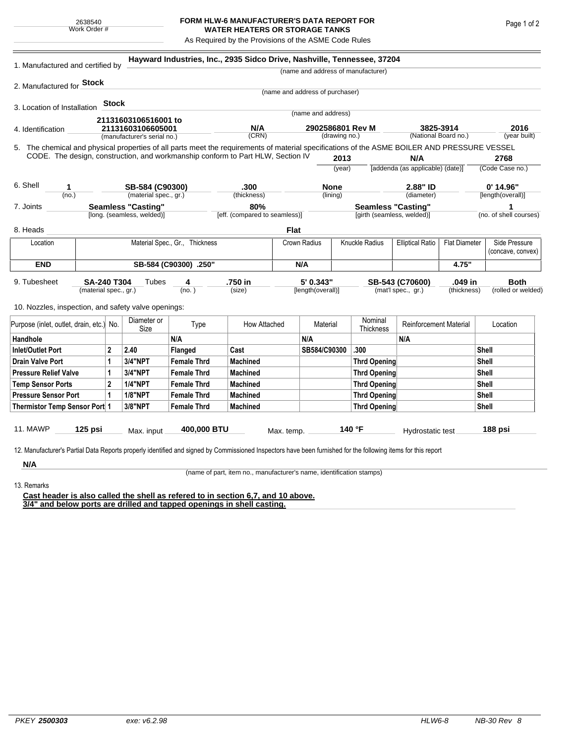## **FORM HLW-6 MANUFACTURER'S DATA REPORT FOR WATER HEATERS OR STORAGE TANKS**

As Required by the Provisions of the ASME Code Rules

| 1. Manufactured and certified by                                                                                                                                                                                                |                                |              |                                    |                                      | Hayward Industries, Inc., 2935 Sidco Drive, Nashville, Tennessee, 37204 |                                           |                    |                                                         |                     |                                                 |                        |                         |                                    |  |  |
|---------------------------------------------------------------------------------------------------------------------------------------------------------------------------------------------------------------------------------|--------------------------------|--------------|------------------------------------|--------------------------------------|-------------------------------------------------------------------------|-------------------------------------------|--------------------|---------------------------------------------------------|---------------------|-------------------------------------------------|------------------------|-------------------------|------------------------------------|--|--|
|                                                                                                                                                                                                                                 |                                |              | (name and address of manufacturer) |                                      |                                                                         |                                           |                    |                                                         |                     |                                                 |                        |                         |                                    |  |  |
| 2. Manufactured for <b>Stock</b>                                                                                                                                                                                                |                                |              |                                    |                                      |                                                                         |                                           |                    |                                                         |                     |                                                 |                        |                         |                                    |  |  |
|                                                                                                                                                                                                                                 |                                |              |                                    |                                      |                                                                         | (name and address of purchaser)           |                    |                                                         |                     |                                                 |                        |                         |                                    |  |  |
| 3. Location of Installation                                                                                                                                                                                                     |                                | Stock        |                                    |                                      |                                                                         |                                           |                    |                                                         |                     |                                                 |                        |                         |                                    |  |  |
|                                                                                                                                                                                                                                 |                                |              | 21131603106516001 to               |                                      |                                                                         |                                           | (name and address) |                                                         |                     |                                                 |                        |                         |                                    |  |  |
| 4. Identification                                                                                                                                                                                                               |                                |              | 21131603106605001                  |                                      | N/A                                                                     | 2902586801 Rev M                          |                    |                                                         |                     | 3825-3914<br>(National Board no.)               |                        | 2016                    |                                    |  |  |
|                                                                                                                                                                                                                                 |                                |              | (manufacturer's serial no.)        |                                      | (CRN)                                                                   |                                           |                    | (drawing no.)                                           |                     |                                                 |                        |                         | (year built)                       |  |  |
| 5. The chemical and physical properties of all parts meet the requirements of material specifications of the ASME BOILER AND PRESSURE VESSEL<br>CODE. The design, construction, and workmanship conform to Part HLW, Section IV |                                |              |                                    |                                      |                                                                         |                                           |                    |                                                         |                     | N/A                                             |                        |                         |                                    |  |  |
|                                                                                                                                                                                                                                 |                                |              |                                    |                                      |                                                                         |                                           | 2013<br>(year)     |                                                         |                     | [addenda (as applicable) (date)]                |                        | 2768<br>(Code Case no.) |                                    |  |  |
|                                                                                                                                                                                                                                 |                                |              |                                    |                                      |                                                                         |                                           |                    |                                                         |                     |                                                 |                        |                         |                                    |  |  |
| 6. Shell<br>1                                                                                                                                                                                                                   |                                |              | SB-584 (C90300)                    |                                      | .300<br>(thickness)                                                     | <b>None</b>                               |                    |                                                         |                     | 2.88" ID                                        |                        | $0'$ 14.96"             |                                    |  |  |
|                                                                                                                                                                                                                                 | (no.)                          |              |                                    | (material spec., gr.)                |                                                                         | (lining)                                  |                    |                                                         | (diameter)          |                                                 | [length(overall)]      |                         |                                    |  |  |
| <b>Seamless "Casting"</b><br>7. Joints<br>[long. (seamless, welded)]                                                                                                                                                            |                                |              |                                    | 80%<br>[eff. (compared to seamless)] |                                                                         |                                           |                    | <b>Seamless "Casting"</b><br>[girth (seamless, welded)] |                     |                                                 | (no. of shell courses) |                         |                                    |  |  |
|                                                                                                                                                                                                                                 |                                |              |                                    |                                      |                                                                         |                                           |                    |                                                         |                     |                                                 |                        |                         |                                    |  |  |
| 8. Heads                                                                                                                                                                                                                        |                                |              |                                    |                                      |                                                                         | Flat                                      |                    |                                                         |                     |                                                 |                        |                         |                                    |  |  |
| Location                                                                                                                                                                                                                        | Material Spec., Gr., Thickness |              |                                    |                                      |                                                                         |                                           | Crown Radius       |                                                         | Knuckle Radius      | <b>Elliptical Ratio</b><br><b>Flat Diameter</b> |                        |                         | Side Pressure<br>(concave, convex) |  |  |
| <b>END</b>                                                                                                                                                                                                                      | SB-584 (C90300) .250"          |              |                                    |                                      |                                                                         |                                           | N/A                |                                                         |                     |                                                 | 4.75"                  |                         |                                    |  |  |
| 9. Tubesheet<br><b>SA-240 T304</b><br>(material spec., gr.)                                                                                                                                                                     |                                |              |                                    | Tubes<br>4                           |                                                                         | .750 in<br>5' 0.343"<br>[length(overall)] |                    |                                                         | SB-543 (C70600)     |                                                 | .049 in                |                         | <b>Both</b>                        |  |  |
|                                                                                                                                                                                                                                 |                                |              | (no.)                              |                                      | (size)                                                                  |                                           |                    |                                                         |                     | (thickness)<br>(mat'l spec., gr.)               |                        |                         | (rolled or welded)                 |  |  |
| 10. Nozzles, inspection, and safety valve openings:                                                                                                                                                                             |                                |              |                                    |                                      |                                                                         |                                           |                    |                                                         |                     |                                                 |                        |                         |                                    |  |  |
|                                                                                                                                                                                                                                 |                                |              | Diameter or                        |                                      |                                                                         |                                           |                    |                                                         | Nominal             |                                                 |                        |                         |                                    |  |  |
| Purpose (inlet, outlet, drain, etc.) No.                                                                                                                                                                                        |                                |              | Size                               | Type                                 | How Attached                                                            |                                           | Material           |                                                         | Thickness           | <b>Reinforcement Material</b>                   |                        | Location                |                                    |  |  |
| Handhole                                                                                                                                                                                                                        |                                |              |                                    | N/A                                  |                                                                         |                                           | N/A                |                                                         |                     | N/A                                             |                        |                         |                                    |  |  |
| $\mathbf{2}$<br><b>Inlet/Outlet Port</b>                                                                                                                                                                                        |                                |              | 2.40                               | <b>Flanged</b>                       | Cast                                                                    |                                           | SB584/C90300       |                                                         | .300                |                                                 |                        | Shell                   |                                    |  |  |
| 1<br><b>Drain Valve Port</b>                                                                                                                                                                                                    |                                |              | 3/4"NPT                            | <b>Female Thrd</b>                   | <b>Machined</b>                                                         |                                           |                    |                                                         | <b>Thrd Opening</b> |                                                 |                        | <b>Shell</b>            |                                    |  |  |
| $\mathbf{1}$<br><b>Pressure Relief Valve</b>                                                                                                                                                                                    |                                |              | 3/4"NPT                            | <b>Female Thrd</b>                   | <b>Machined</b>                                                         |                                           |                    |                                                         | <b>Thrd Opening</b> |                                                 |                        | <b>Shell</b>            |                                    |  |  |
| $\mathbf{2}$<br><b>Temp Sensor Ports</b>                                                                                                                                                                                        |                                |              | <b>1/4"NPT</b>                     | <b>Female Thrd</b>                   | <b>Machined</b>                                                         |                                           |                    |                                                         | <b>Thrd Opening</b> |                                                 | <b>Shell</b>           |                         |                                    |  |  |
| <b>Pressure Sensor Port</b>                                                                                                                                                                                                     |                                | $\mathbf{1}$ | <b>1/8"NPT</b>                     | <b>Female Thrd</b>                   | <b>Machined</b>                                                         |                                           |                    |                                                         | <b>Thrd Opening</b> |                                                 | <b>Shell</b>           |                         |                                    |  |  |
| Thermistor Temp Sensor Port 1                                                                                                                                                                                                   |                                |              | 3/8"NPT                            | <b>Female Thrd</b>                   | <b>Machined</b>                                                         |                                           |                    |                                                         | <b>Thrd Opening</b> |                                                 | <b>Shell</b>           |                         |                                    |  |  |
|                                                                                                                                                                                                                                 |                                |              |                                    |                                      |                                                                         |                                           |                    |                                                         |                     |                                                 |                        |                         |                                    |  |  |
| <b>11. MAWP</b><br>$125$ psi                                                                                                                                                                                                    |                                |              | 400,000 BTU<br>Max. input          |                                      |                                                                         | Max. temp.                                |                    |                                                         | 140 °F              | Hydrostatic test                                |                        | 188 psi                 |                                    |  |  |
|                                                                                                                                                                                                                                 |                                |              |                                    |                                      |                                                                         |                                           |                    |                                                         |                     |                                                 |                        |                         |                                    |  |  |
| 12. Manufacturer's Partial Data Reports properly identified and signed by Commissioned Inspectors have been furnished for the following items for this report                                                                   |                                |              |                                    |                                      |                                                                         |                                           |                    |                                                         |                     |                                                 |                        |                         |                                    |  |  |
| N/A                                                                                                                                                                                                                             |                                |              |                                    |                                      |                                                                         |                                           |                    |                                                         |                     |                                                 |                        |                         |                                    |  |  |

(name of part, item no., manufacturer's name, identification stamps)

13. Remarks

**Cast header is also called the shell as refered to in section 6,7, and 10 above. 3/4" and below ports are drilled and tapped openings in shell casting.**